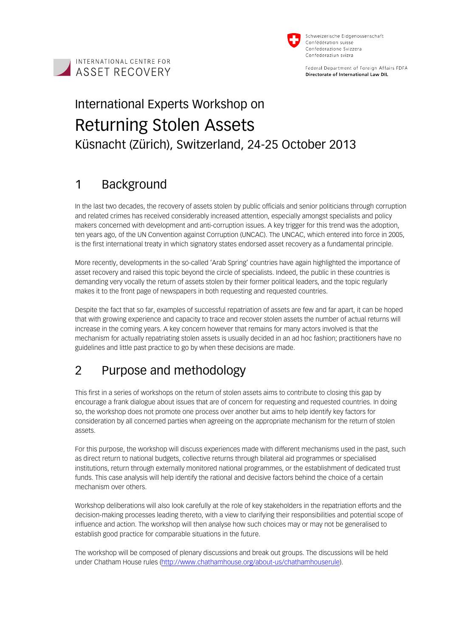



Federal Department of Foreign Affairs FDFA Directorate of International Law DIL

# International Experts Workshop on Returning Stolen Assets Küsnacht (Zürich), Switzerland, 24-25 October 2013

# 1 Background

In the last two decades, the recovery of assets stolen by public officials and senior politicians through corruption and related crimes has received considerably increased attention, especially amongst specialists and policy makers concerned with development and anti-corruption issues. A key trigger for this trend was the adoption, ten years ago, of the UN Convention against Corruption (UNCAC). The UNCAC, which entered into force in 2005, is the first international treaty in which signatory states endorsed asset recovery as a fundamental principle.

More recently, developments in the so-called 'Arab Spring' countries have again highlighted the importance of asset recovery and raised this topic beyond the circle of specialists. Indeed, the public in these countries is demanding very vocally the return of assets stolen by their former political leaders, and the topic regularly makes it to the front page of newspapers in both requesting and requested countries.

Despite the fact that so far, examples of successful repatriation of assets are few and far apart, it can be hoped that with growing experience and capacity to trace and recover stolen assets the number of actual returns will increase in the coming years. A key concern however that remains for many actors involved is that the mechanism for actually repatriating stolen assets is usually decided in an ad hoc fashion; practitioners have no guidelines and little past practice to go by when these decisions are made.

# 2 Purpose and methodology

This first in a series of workshops on the return of stolen assets aims to contribute to closing this gap by encourage a frank dialogue about issues that are of concern for requesting and requested countries. In doing so, the workshop does not promote one process over another but aims to help identify key factors for consideration by all concerned parties when agreeing on the appropriate mechanism for the return of stolen assets.

For this purpose, the workshop will discuss experiences made with different mechanisms used in the past, such as direct return to national budgets, collective returns through bilateral aid programmes or specialised institutions, return through externally monitored national programmes, or the establishment of dedicated trust funds. This case analysis will help identify the rational and decisive factors behind the choice of a certain mechanism over others.

Workshop deliberations will also look carefully at the role of key stakeholders in the repatriation efforts and the decision-making processes leading thereto, with a view to clarifying their responsibilities and potential scope of influence and action. The workshop will then analyse how such choices may or may not be generalised to establish good practice for comparable situations in the future.

The workshop will be composed of plenary discussions and break out groups. The discussions will be held under Chatham House rules (http://www.chathamhouse.org/about-us/chathamhouserule).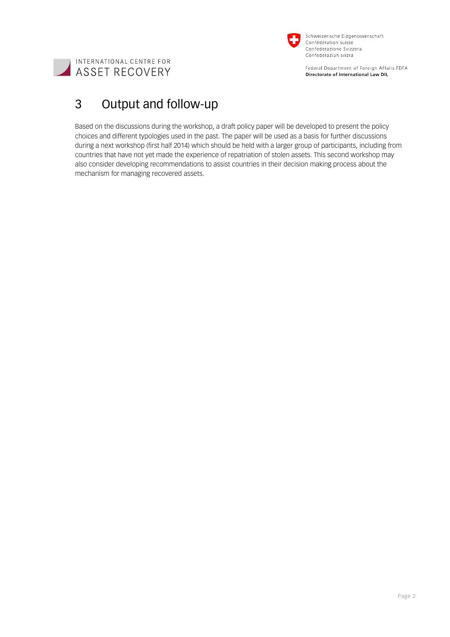

Federal Department of Foreign Affairs FDFA Directorate of International Law DIL



# 3 Output and follow-up

Based on the discussions during the workshop, a draft policy paper will be developed to present the policy choices and different typologies used in the past. The paper will be used as a basis for further discussions during a next workshop (first half 2014) which should be held with a larger group of participants, including from countries that have not yet made the experience of repatriation of stolen assets. This second workshop may also consider developing recommendations to assist countries in their decision making process about the mechanism for managing recovered assets.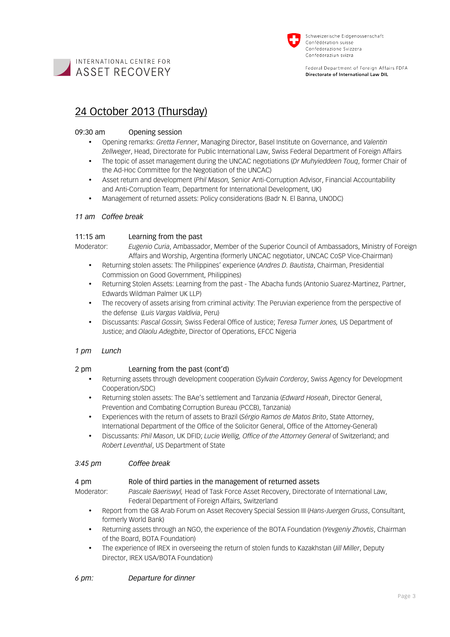



Federal Department of Foreign Affairs FDFA Directorate of International Law DIL

## 24 October 2013 (Thursday)

## 09:30 am Opening session

- Opening remarks: *Gretta Fenner*, Managing Director, Basel Institute on Governance, and *Valentin Zellweger*, Head, Directorate for Public International Law, Swiss Federal Department of Foreign Affairs
- The topic of asset management during the UNCAC negotiations (*Dr Muhyieddeen Touq*, former Chair of the Ad-Hoc Committee for the Negotiation of the UNCAC)
- Asset return and development (*Phil Mason,* Senior Anti-Corruption Advisor, Financial Accountability and Anti-Corruption Team, Department for International Development, UK)
- Management of returned assets: Policy considerations (Badr N. El Banna, UNODC)

## *11 am Coffee break*

## 11:15 am Learning from the past

- Moderator: *Eugenio Curia*, Ambassador, Member of the Superior Council of Ambassadors, Ministry of Foreign Affairs and Worship, Argentina (formerly UNCAC negotiator, UNCAC CoSP Vice-Chairman)
	- Returning stolen assets: The Philippines' experience (*Andres D. Bautista*, Chairman, Presidential Commission on Good Government, Philippines)
	- Returning Stolen Assets: Learning from the past The Abacha funds (Antonio Suarez-Martinez, Partner, Edwards Wildman Palmer UK LLP)
	- The recovery of assets arising from criminal activity: The Peruvian experience from the perspective of the defense (*Luis Vargas Valdivia*, Peru)
	- Discussants: *Pascal Gossin,* Swiss Federal Office of Justice; *Teresa Turner Jones,* US Department of Justice; and *Olaolu Adegbite*, Director of Operations, EFCC Nigeria

## *1 pm Lunch*

## 2 pm Learning from the past (cont'd)

- Returning assets through development cooperation (*Sylvain Corderoy*, Swiss Agency for Development Cooperation/SDC)
- Returning stolen assets: The BAe's settlement and Tanzania (*Edward Hoseah*, Director General, Prevention and Combating Corruption Bureau (PCCB), Tanzania)
- Experiences with the return of assets to Brazil (*Sérgio Ramos de Matos Brito*, State Attorney, International Department of the Office of the Solicitor General, Office of the Attorney-General)
- Discussants: *Phil Mason*, UK DFID; *Lucie Wellig, Office of the Attorney General* of Switzerland; and *Robert Leventhal*, US Department of State

## *3:45 pm Coffee break*

## 4 pm Role of third parties in the management of returned assets

- Moderator: *Pascale Baeriswyl,* Head of Task Force Asset Recovery, Directorate of International Law,
	- Federal Department of Foreign Affairs, Switzerland
	- Report from the G8 Arab Forum on Asset Recovery Special Session III (*Hans-Juergen Gruss*, Consultant, formerly World Bank)
	- Returning assets through an NGO, the experience of the BOTA Foundation (*Yevgeniy Zhovtis*, Chairman of the Board, BOTA Foundation)
	- The experience of IREX in overseeing the return of stolen funds to Kazakhstan (*Jill Miller*, Deputy Director, IREX USA/BOTA Foundation)